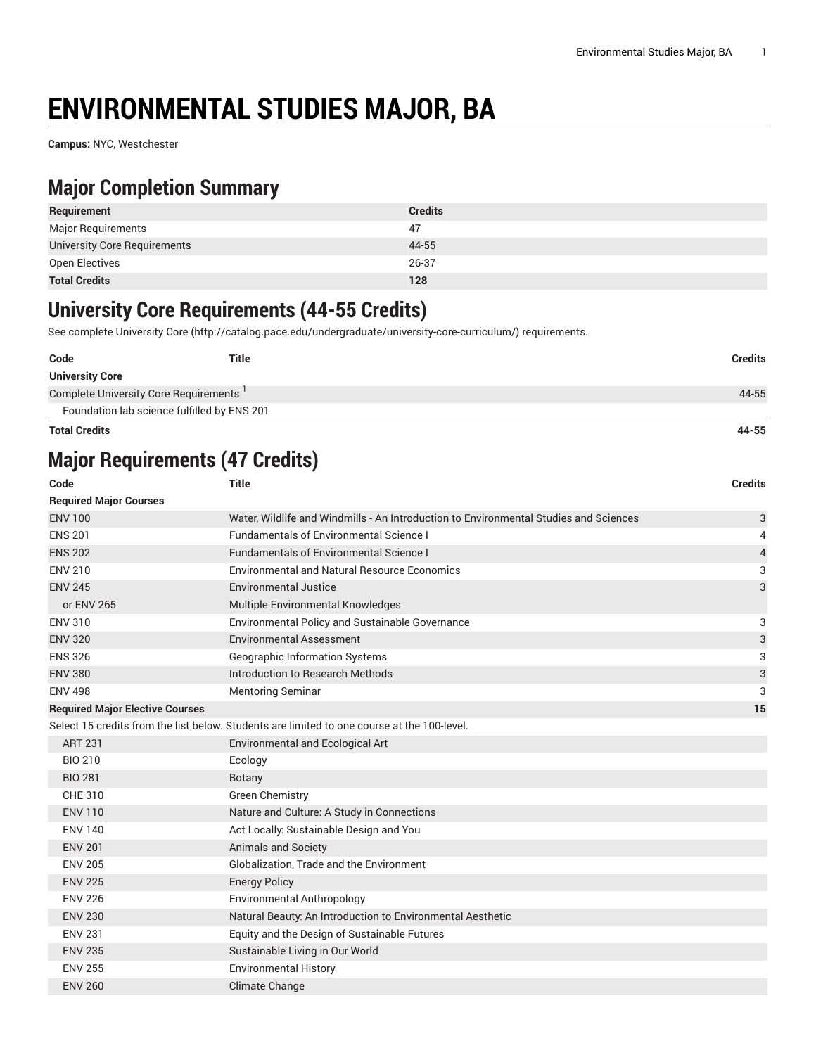# **ENVIRONMENTAL STUDIES MAJOR, BA**

**Campus:** NYC, Westchester

#### **Major Completion Summary**

| Requirement                  | <b>Credits</b> |
|------------------------------|----------------|
| Major Requirements           | 47             |
| University Core Requirements | 44-55          |
| Open Electives               | 26-37          |
| <b>Total Credits</b>         | 128            |

#### **University Core Requirements (44-55 Credits)**

See complete [University](http://catalog.pace.edu/undergraduate/university-core-curriculum/) Core (<http://catalog.pace.edu/undergraduate/university-core-curriculum/>) requirements.

| Code                                  | <b>Title</b>                                | <b>Credits</b> |
|---------------------------------------|---------------------------------------------|----------------|
| <b>University Core</b>                |                                             |                |
| Complete University Core Requirements |                                             | 44-55          |
|                                       | Foundation lab science fulfilled by ENS 201 |                |
| <b>Total Credits</b>                  |                                             | 44-55          |

### **Major Requirements (47 Credits)**

| Code                                   | <b>Title</b>                                                                                | <b>Credits</b> |
|----------------------------------------|---------------------------------------------------------------------------------------------|----------------|
| <b>Required Major Courses</b>          |                                                                                             |                |
| <b>ENV 100</b>                         | Water, Wildlife and Windmills - An Introduction to Environmental Studies and Sciences       | 3              |
| <b>ENS 201</b>                         | <b>Fundamentals of Environmental Science I</b>                                              | 4              |
| <b>ENS 202</b>                         | <b>Fundamentals of Environmental Science I</b>                                              | $\overline{4}$ |
| <b>ENV 210</b>                         | <b>Environmental and Natural Resource Economics</b>                                         | 3              |
| <b>ENV 245</b>                         | Environmental Justice                                                                       | 3              |
| or ENV 265                             | Multiple Environmental Knowledges                                                           |                |
| <b>ENV 310</b>                         | <b>Environmental Policy and Sustainable Governance</b>                                      | 3              |
| <b>ENV 320</b>                         | <b>Environmental Assessment</b>                                                             | 3              |
| <b>ENS 326</b>                         | <b>Geographic Information Systems</b>                                                       | 3              |
| <b>ENV 380</b>                         | Introduction to Research Methods                                                            | 3              |
| <b>ENV 498</b>                         | <b>Mentoring Seminar</b>                                                                    | 3              |
| <b>Required Major Elective Courses</b> |                                                                                             | 15             |
|                                        | Select 15 credits from the list below. Students are limited to one course at the 100-level. |                |
| <b>ART 231</b>                         | Environmental and Ecological Art                                                            |                |
| <b>BIO 210</b>                         | Ecology                                                                                     |                |
| <b>BIO 281</b>                         | Botany                                                                                      |                |
| CHE 310                                | <b>Green Chemistry</b>                                                                      |                |
| <b>ENV 110</b>                         | Nature and Culture: A Study in Connections                                                  |                |
| <b>ENV 140</b>                         | Act Locally: Sustainable Design and You                                                     |                |
| <b>ENV 201</b>                         | Animals and Society                                                                         |                |
| <b>ENV 205</b>                         | Globalization, Trade and the Environment                                                    |                |
| <b>ENV 225</b>                         | <b>Energy Policy</b>                                                                        |                |
| <b>ENV 226</b>                         | <b>Environmental Anthropology</b>                                                           |                |
| <b>ENV 230</b>                         | Natural Beauty: An Introduction to Environmental Aesthetic                                  |                |
| <b>ENV 231</b>                         | Equity and the Design of Sustainable Futures                                                |                |
| <b>ENV 235</b>                         | Sustainable Living in Our World                                                             |                |
| <b>ENV 255</b>                         | <b>Environmental History</b>                                                                |                |
| <b>ENV 260</b>                         | Climate Change                                                                              |                |
|                                        |                                                                                             |                |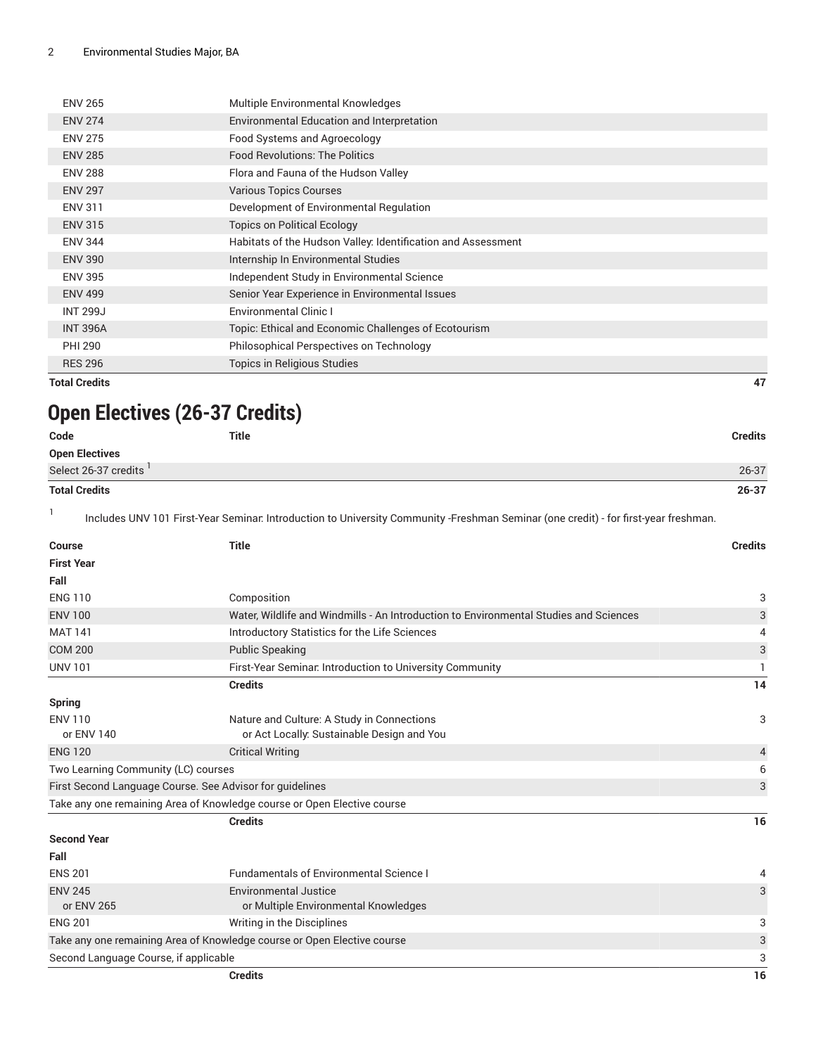| <b>ENV 265</b>  | Multiple Environmental Knowledges                            |
|-----------------|--------------------------------------------------------------|
| <b>ENV 274</b>  | Environmental Education and Interpretation                   |
| <b>ENV 275</b>  | Food Systems and Agroecology                                 |
| <b>ENV 285</b>  | <b>Food Revolutions: The Politics</b>                        |
| <b>ENV 288</b>  | Flora and Fauna of the Hudson Valley                         |
| <b>ENV 297</b>  | <b>Various Topics Courses</b>                                |
| <b>ENV 311</b>  | Development of Environmental Regulation                      |
| <b>ENV 315</b>  | <b>Topics on Political Ecology</b>                           |
| <b>ENV 344</b>  | Habitats of the Hudson Valley: Identification and Assessment |
| <b>ENV 390</b>  | Internship In Environmental Studies                          |
| <b>ENV 395</b>  | Independent Study in Environmental Science                   |
| <b>ENV 499</b>  | Senior Year Experience in Environmental Issues               |
| <b>INT 299J</b> | <b>Environmental Clinic I</b>                                |
| <b>INT 396A</b> | Topic: Ethical and Economic Challenges of Ecotourism         |
| <b>PHI 290</b>  | Philosophical Perspectives on Technology                     |
| <b>RES 296</b>  | Topics in Religious Studies                                  |

**Total Credits 47**

## **Open Electives (26-37 Credits)**

| Code                  | Title | <b>Credits</b> |
|-----------------------|-------|----------------|
| <b>Open Electives</b> |       |                |
| Select 26-37 credits  |       | 26-37          |
| <b>Total Credits</b>  |       | $26 - 37$      |

1 Includes UNV 101 First-Year Seminar: Introduction to University Community -Freshman Seminar (one credit) - for first-year freshman.

| <b>Course</b>                         | <b>Title</b>                                                                          | <b>Credits</b> |
|---------------------------------------|---------------------------------------------------------------------------------------|----------------|
| <b>First Year</b>                     |                                                                                       |                |
| Fall                                  |                                                                                       |                |
| <b>ENG 110</b>                        | Composition                                                                           | 3              |
| <b>ENV 100</b>                        | Water, Wildlife and Windmills - An Introduction to Environmental Studies and Sciences | 3              |
| <b>MAT 141</b>                        | Introductory Statistics for the Life Sciences                                         | 4              |
| <b>COM 200</b>                        | <b>Public Speaking</b>                                                                | 3              |
| <b>UNV 101</b>                        | First-Year Seminar. Introduction to University Community                              | $\mathbf{1}$   |
|                                       | <b>Credits</b>                                                                        | 14             |
| <b>Spring</b>                         |                                                                                       |                |
| <b>ENV 110</b>                        | Nature and Culture: A Study in Connections                                            | 3              |
| or ENV 140                            | or Act Locally: Sustainable Design and You                                            |                |
| <b>ENG 120</b>                        | <b>Critical Writing</b>                                                               | $\overline{4}$ |
| Two Learning Community (LC) courses   |                                                                                       | 6              |
|                                       | First Second Language Course. See Advisor for guidelines                              | 3              |
|                                       | Take any one remaining Area of Knowledge course or Open Elective course               |                |
|                                       | <b>Credits</b>                                                                        | 16             |
| <b>Second Year</b>                    |                                                                                       |                |
| Fall                                  |                                                                                       |                |
| <b>ENS 201</b>                        | <b>Fundamentals of Environmental Science I</b>                                        | 4              |
| <b>ENV 245</b>                        | <b>Environmental Justice</b>                                                          | 3              |
| or ENV 265                            | or Multiple Environmental Knowledges                                                  |                |
| <b>ENG 201</b>                        | Writing in the Disciplines                                                            | 3              |
|                                       | Take any one remaining Area of Knowledge course or Open Elective course               | 3              |
| Second Language Course, if applicable |                                                                                       | 3              |
|                                       | <b>Credits</b>                                                                        | 16             |